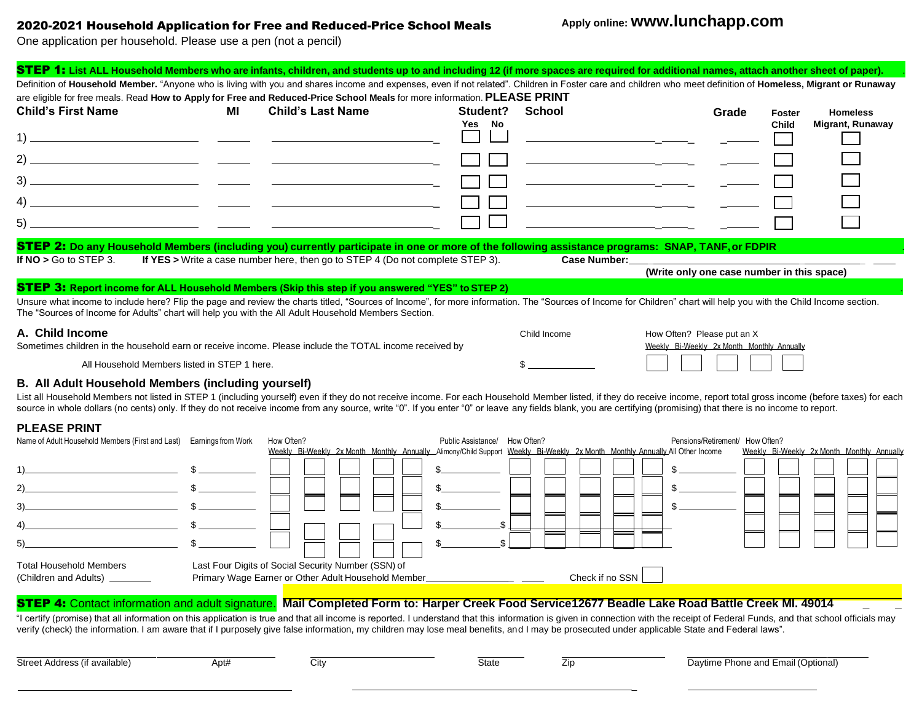## 2020-2021 Household Application for Free and Reduced-Price School Meals

# **Apply online: www.lunchapp.com**

One application per household. Please use a pen (not a pencil)

| STEP 1: List ALL Household Members who are infants, children, and students up to and including 12 (if more spaces are required for additional names, attach another sheet of paper).                                                                                                                                       |    |                                                                                                                                            |                               |                                              |                                            |                                 |               |                                            |
|----------------------------------------------------------------------------------------------------------------------------------------------------------------------------------------------------------------------------------------------------------------------------------------------------------------------------|----|--------------------------------------------------------------------------------------------------------------------------------------------|-------------------------------|----------------------------------------------|--------------------------------------------|---------------------------------|---------------|--------------------------------------------|
| Definition of Household Member. "Anyone who is living with you and shares income and expenses, even if not related". Children in Foster care and children who meet definition of Homeless, Migrant or Runaway                                                                                                              |    |                                                                                                                                            |                               |                                              |                                            |                                 |               |                                            |
| are eligible for free meals. Read How to Apply for Free and Reduced-Price School Meals for more information. PLEASE PRINT                                                                                                                                                                                                  |    |                                                                                                                                            |                               |                                              |                                            |                                 |               |                                            |
| <b>Child's First Name</b>                                                                                                                                                                                                                                                                                                  | MI | <b>Child's Last Name</b>                                                                                                                   | Student?                      | School                                       |                                            | Grade                           | <b>Foster</b> | <b>Homeless</b>                            |
|                                                                                                                                                                                                                                                                                                                            |    |                                                                                                                                            | Yes No                        |                                              |                                            |                                 | <b>Child</b>  | <b>Migrant, Runaway</b>                    |
|                                                                                                                                                                                                                                                                                                                            |    |                                                                                                                                            |                               |                                              |                                            |                                 |               |                                            |
|                                                                                                                                                                                                                                                                                                                            |    |                                                                                                                                            |                               |                                              |                                            |                                 |               |                                            |
|                                                                                                                                                                                                                                                                                                                            |    |                                                                                                                                            |                               |                                              |                                            |                                 |               |                                            |
|                                                                                                                                                                                                                                                                                                                            |    | <u> 1989 - Johann John Stone, mars eta biztanleria (h. 1989).</u>                                                                          |                               | <u> Alexandria (m. 1958)</u>                 |                                            |                                 |               |                                            |
|                                                                                                                                                                                                                                                                                                                            |    |                                                                                                                                            |                               | <u> 1989 - Andrea Andrew Maria (b. 1989)</u> |                                            |                                 |               |                                            |
|                                                                                                                                                                                                                                                                                                                            |    |                                                                                                                                            |                               |                                              |                                            |                                 |               |                                            |
| STEP 2: Do any Household Members (including you) currently participate in one or more of the following assistance programs: SNAP, TANF, or FDPIR<br>If $NO > Go$ to STEP 3.                                                                                                                                                |    | If YES > Write a case number here, then go to STEP 4 (Do not complete STEP 3).                                                             |                               |                                              |                                            |                                 |               |                                            |
|                                                                                                                                                                                                                                                                                                                            |    |                                                                                                                                            |                               |                                              | (Write only one case number in this space) |                                 |               |                                            |
| <b>STEP 3:</b> Report income for ALL Household Members (Skip this step if you answered "YES" to STEP 2)                                                                                                                                                                                                                    |    |                                                                                                                                            |                               |                                              |                                            |                                 |               |                                            |
| Unsure what income to include here? Flip the page and review the charts titled, "Sources of Income", for more information. The "Sources of Income for Children" chart will help you with the Child Income section.<br>The "Sources of Income for Adults" chart will help you with the All Adult Household Members Section. |    |                                                                                                                                            |                               |                                              |                                            |                                 |               |                                            |
| A. Child Income                                                                                                                                                                                                                                                                                                            |    |                                                                                                                                            |                               | Child Income                                 | How Often? Please put an X                 |                                 |               |                                            |
| Sometimes children in the household earn or receive income. Please include the TOTAL income received by                                                                                                                                                                                                                    |    |                                                                                                                                            |                               |                                              | Weekly Bi-Weekly 2x Month Monthly Annually |                                 |               |                                            |
| All Household Members listed in STEP 1 here.                                                                                                                                                                                                                                                                               |    |                                                                                                                                            |                               |                                              |                                            |                                 |               |                                            |
| B. All Adult Household Members (including yourself)                                                                                                                                                                                                                                                                        |    |                                                                                                                                            |                               |                                              |                                            |                                 |               |                                            |
| List all Household Members not listed in STEP 1 (including yourself) even if they do not receive income. For each Household Member listed, if they do receive income, report total gross income (before taxes) for each                                                                                                    |    |                                                                                                                                            |                               |                                              |                                            |                                 |               |                                            |
| source in whole dollars (no cents) only. If they do not receive income from any source, write "0". If you enter "0" or leave any fields blank, you are certifying (promising) that there is no income to report.                                                                                                           |    |                                                                                                                                            |                               |                                              |                                            |                                 |               |                                            |
| <b>PLEASE PRINT</b>                                                                                                                                                                                                                                                                                                        |    |                                                                                                                                            |                               |                                              |                                            |                                 |               |                                            |
| Name of Adult Household Members (First and Last) Earnings from Work                                                                                                                                                                                                                                                        |    | How Often?<br>Weekly Bi-Weekly 2x Month Monthly Annually Alimony/Child Support Weekly Bi-Weekly 2x Month Monthly Annually All Other Income | Public Assistance/ How Often? |                                              |                                            | Pensions/Retirement/ How Often? |               | Weekly Bi-Weekly 2x Month Monthly Annually |
|                                                                                                                                                                                                                                                                                                                            |    |                                                                                                                                            |                               |                                              |                                            |                                 |               |                                            |
|                                                                                                                                                                                                                                                                                                                            |    |                                                                                                                                            |                               |                                              |                                            |                                 |               |                                            |
| $\overbrace{\hspace{2.5cm}}$ $\overbrace{\hspace{2.5cm}}$ $\overbrace{\hspace{2.5cm}}$ $\overbrace{\hspace{2.5cm}}$ $\overbrace{\hspace{2.5cm}}$                                                                                                                                                                           |    |                                                                                                                                            |                               |                                              |                                            |                                 |               |                                            |
| $\overline{\text{S}}$                                                                                                                                                                                                                                                                                                      |    |                                                                                                                                            |                               |                                              |                                            |                                 |               |                                            |
|                                                                                                                                                                                                                                                                                                                            |    |                                                                                                                                            |                               |                                              |                                            |                                 |               |                                            |

|                                                                                                                                                           |                                                     | Weekly Bi-Weekly 2x Month Monthly Annually Alimony/Child Support Weekly Bi-Weekly 2x Month Monthly Annually All Other Income | Weekly Bi-Weekly 2x Month Monthly Annually |  |  |
|-----------------------------------------------------------------------------------------------------------------------------------------------------------|-----------------------------------------------------|------------------------------------------------------------------------------------------------------------------------------|--------------------------------------------|--|--|
|                                                                                                                                                           |                                                     |                                                                                                                              |                                            |  |  |
| 2)                                                                                                                                                        |                                                     |                                                                                                                              |                                            |  |  |
| 3)                                                                                                                                                        |                                                     |                                                                                                                              |                                            |  |  |
| 4)                                                                                                                                                        |                                                     |                                                                                                                              |                                            |  |  |
| 5)                                                                                                                                                        |                                                     |                                                                                                                              |                                            |  |  |
| <b>Total Household Members</b>                                                                                                                            | Last Four Digits of Social Security Number (SSN) of |                                                                                                                              |                                            |  |  |
| (Children and Adults)                                                                                                                                     | Primary Wage Earner or Other Adult Household Member | Check if no SSN                                                                                                              |                                            |  |  |
| <b>STEP 4:</b> Contact information and adult signature.<br>Mail Completed Form to: Harper Creek Food Service12677 Beadle Lake Road Battle Creek MI. 49014 |                                                     |                                                                                                                              |                                            |  |  |

"I certify (promise) that all information on this application is true and that all income is reported. I understand that this information is given in connection with the receipt of Federal Funds, and that school officials verify (check) the information. I am aware that if I purposely give false information, my children may lose meal benefits, and I may be prosecuted under applicable State and Federal laws".

\_

Street Address (if available) **Apt#** City City State Zip Daytime Phone and Email (Optional)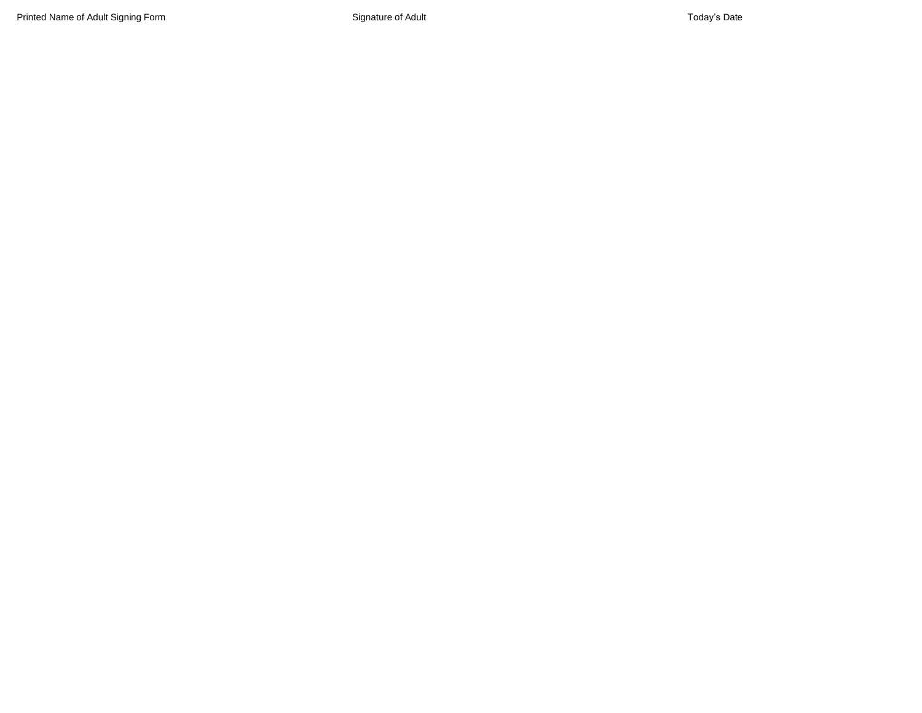Printed Name of Adult Signing Form **System Structure of Adult** Signature of Adult Today's Date Today's Date